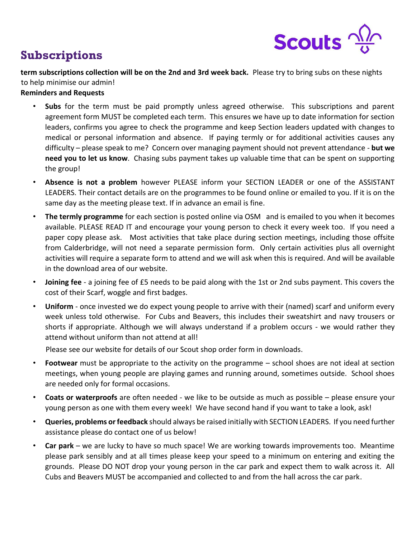

## **Subscriptions**

**term subscriptions collection will be on the 2nd and 3rd week back.** Please try to bring subs on these nights to help minimise our admin!

## **Reminders and Requests**

- **Subs** for the term must be paid promptly unless agreed otherwise. This subscriptions and parent agreement form MUST be completed each term. This ensures we have up to date information for section leaders, confirms you agree to check the programme and keep Section leaders updated with changes to medical or personal information and absence. If paying termly or for additional activities causes any difficulty – please speak to me? Concern over managing payment should not prevent attendance - **but we need you to let us know**. Chasing subs payment takes up valuable time that can be spent on supporting the group!
- **Absence is not a problem** however PLEASE inform your SECTION LEADER or one of the ASSISTANT LEADERS. Their contact details are on the programmes to be found online or emailed to you. If it is on the same day as the meeting please text. If in advance an email is fine.
- **The termly programme** for each section is posted online via OS[M](http://www.4thsevenoaks.org.uk/programme) and is emailed to you when it becomes available. PLEASE READ IT and encourage your young person to check it every week too. If you need a paper copy please ask. Most activities that take place during section meetings, including those offsite from Calderbridge, will not need a separate permission form. Only certain activities plus all overnight activities will require a separate form to attend and we will ask when this is required. And will be available in the download area of our website.
- **Joining fee** a joining fee of £5 needs to be paid along with the 1st or 2nd subs payment. This covers the cost of their Scarf, woggle and first badges.
- **Uniform**  once invested we do expect young people to arrive with their (named) scarf and uniform every week unless told otherwise. For Cubs and Beavers, this includes their sweatshirt and navy trousers or shorts if appropriate. Although we will always understand if a problem occurs - we would rather they attend without uniform than not attend at all!

Please see our website for details of our Scout shop order form in downloads.

- **Footwear** must be appropriate to the activity on the programme school shoes are not ideal at section meetings, when young people are playing games and running around, sometimes outside. School shoes are needed only for formal occasions.
- **Coats or waterproofs** are often needed we like to be outside as much as possible please ensure your young person as one with them every week! We have second hand if you want to take a look, ask!
- **Queries, problems or feedback** should always be raised initially with SECTION LEADERS. If you need further assistance please do contact one of us below!
- **Car park** we are lucky to have so much space! We are working towards improvements too. Meantime please park sensibly and at all times please keep your speed to a minimum on entering and exiting the grounds. Please DO NOT drop your young person in the car park and expect them to walk across it. All Cubs and Beavers MUST be accompanied and collected to and from the hall across the car park.